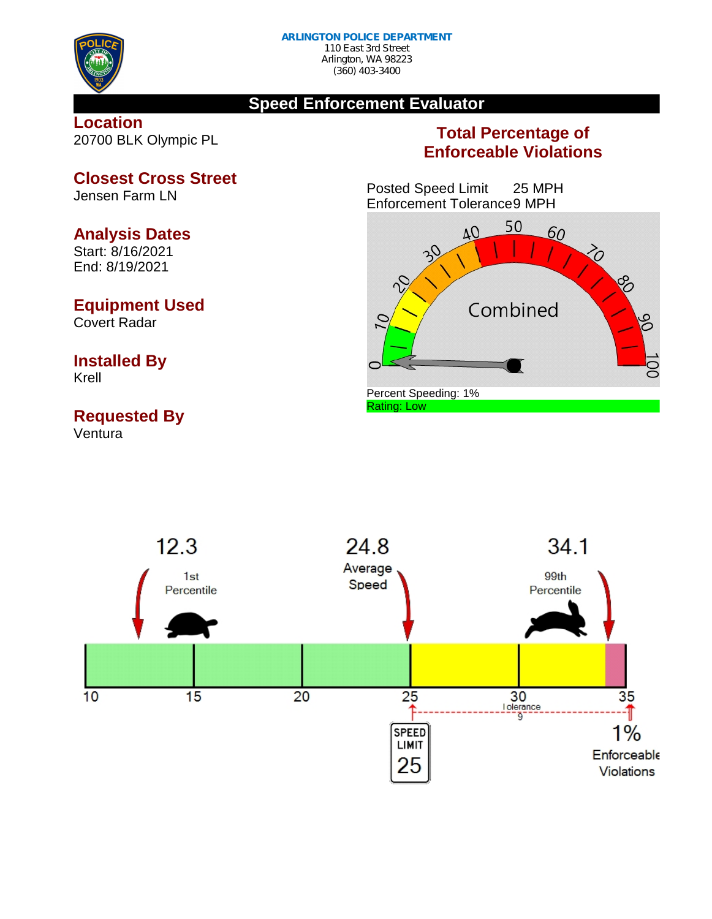

#### **Speed Enforcement Evaluator**

#### **Location** 20700 BLK Olympic PL

### **Total Percentage of Enforceable Violations**

Posted Speed Limit 25 MPH Enforcement Tolerance9 MPH





**Closest Cross Street**

Jensen Farm LN

#### **Analysis Dates**

Start: 8/16/2021 End: 8/19/2021

#### **Equipment Used**

Covert Radar

# **Installed By**

Krell

## **Requested By**

Ventura